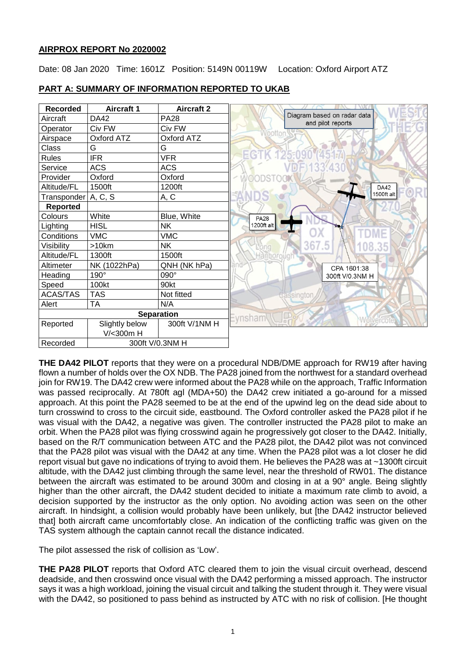## **AIRPROX REPORT No 2020002**

Date: 08 Jan 2020 Time: 1601Z Position: 5149N 00119W Location: Oxford Airport ATZ



## **PART A: SUMMARY OF INFORMATION REPORTED TO UKAB**

**THE DA42 PILOT** reports that they were on a procedural NDB/DME approach for RW19 after having flown a number of holds over the OX NDB. The PA28 joined from the northwest for a standard overhead join for RW19. The DA42 crew were informed about the PA28 while on the approach, Traffic Information was passed reciprocally. At 780ft agl (MDA+50) the DA42 crew initiated a go-around for a missed approach. At this point the PA28 seemed to be at the end of the upwind leg on the dead side about to turn crosswind to cross to the circuit side, eastbound. The Oxford controller asked the PA28 pilot if he was visual with the DA42, a negative was given. The controller instructed the PA28 pilot to make an orbit. When the PA28 pilot was flying crosswind again he progressively got closer to the DA42. Initially, based on the R/T communication between ATC and the PA28 pilot, the DA42 pilot was not convinced that the PA28 pilot was visual with the DA42 at any time. When the PA28 pilot was a lot closer he did report visual but gave no indications of trying to avoid them. He believes the PA28 was at ~1300ft circuit altitude, with the DA42 just climbing through the same level, near the threshold of RW01. The distance between the aircraft was estimated to be around 300m and closing in at a 90° angle. Being slightly higher than the other aircraft, the DA42 student decided to initiate a maximum rate climb to avoid, a decision supported by the instructor as the only option. No avoiding action was seen on the other aircraft. In hindsight, a collision would probably have been unlikely, but [the DA42 instructor believed that] both aircraft came uncomfortably close. An indication of the conflicting traffic was given on the TAS system although the captain cannot recall the distance indicated.

The pilot assessed the risk of collision as 'Low'.

**THE PA28 PILOT** reports that Oxford ATC cleared them to join the visual circuit overhead, descend deadside, and then crosswind once visual with the DA42 performing a missed approach. The instructor says it was a high workload, joining the visual circuit and talking the student through it. They were visual with the DA42, so positioned to pass behind as instructed by ATC with no risk of collision. [He thought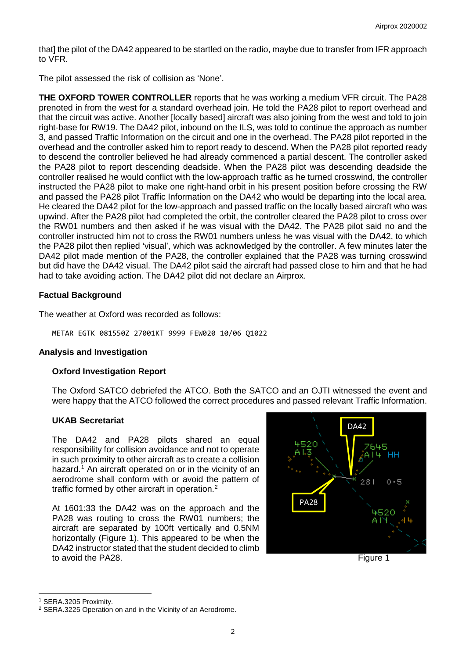that] the pilot of the DA42 appeared to be startled on the radio, maybe due to transfer from IFR approach to VFR.

The pilot assessed the risk of collision as 'None'.

**THE OXFORD TOWER CONTROLLER** reports that he was working a medium VFR circuit. The PA28 prenoted in from the west for a standard overhead join. He told the PA28 pilot to report overhead and that the circuit was active. Another [locally based] aircraft was also joining from the west and told to join right-base for RW19. The DA42 pilot, inbound on the ILS, was told to continue the approach as number 3, and passed Traffic Information on the circuit and one in the overhead. The PA28 pilot reported in the overhead and the controller asked him to report ready to descend. When the PA28 pilot reported ready to descend the controller believed he had already commenced a partial descent. The controller asked the PA28 pilot to report descending deadside. When the PA28 pilot was descending deadside the controller realised he would conflict with the low-approach traffic as he turned crosswind, the controller instructed the PA28 pilot to make one right-hand orbit in his present position before crossing the RW and passed the PA28 pilot Traffic Information on the DA42 who would be departing into the local area. He cleared the DA42 pilot for the low-approach and passed traffic on the locally based aircraft who was upwind. After the PA28 pilot had completed the orbit, the controller cleared the PA28 pilot to cross over the RW01 numbers and then asked if he was visual with the DA42. The PA28 pilot said no and the controller instructed him not to cross the RW01 numbers unless he was visual with the DA42, to which the PA28 pilot then replied 'visual', which was acknowledged by the controller. A few minutes later the DA42 pilot made mention of the PA28, the controller explained that the PA28 was turning crosswind but did have the DA42 visual. The DA42 pilot said the aircraft had passed close to him and that he had had to take avoiding action. The DA42 pilot did not declare an Airprox.

## **Factual Background**

The weather at Oxford was recorded as follows:

METAR EGTK 081550Z 27001KT 9999 FEW020 10/06 Q1022

## **Analysis and Investigation**

## **Oxford Investigation Report**

The Oxford SATCO debriefed the ATCO. Both the SATCO and an OJTI witnessed the event and were happy that the ATCO followed the correct procedures and passed relevant Traffic Information.

## **UKAB Secretariat**

The DA42 and PA28 pilots shared an equal responsibility for collision avoidance and not to operate in such proximity to other aircraft as to create a collision hazard. [1](#page-1-0) An aircraft operated on or in the vicinity of an aerodrome shall conform with or avoid the pattern of traffic formed by other aircraft in operation.<sup>[2](#page-1-1)</sup>

At 1601:33 the DA42 was on the approach and the PA28 was routing to cross the RW01 numbers; the aircraft are separated by 100ft vertically and 0.5NM horizontally (Figure 1). This appeared to be when the DA42 instructor stated that the student decided to climb to avoid the PA28. Figure 1



 $\overline{\phantom{a}}$ 

<span id="page-1-0"></span><sup>1</sup> SERA.3205 Proximity.

<span id="page-1-1"></span><sup>2</sup> SERA.3225 Operation on and in the Vicinity of an Aerodrome.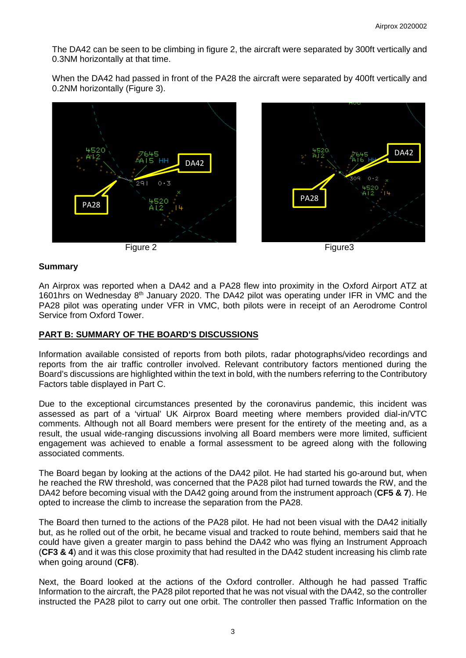The DA42 can be seen to be climbing in figure 2, the aircraft were separated by 300ft vertically and 0.3NM horizontally at that time.

When the DA42 had passed in front of the PA28 the aircraft were separated by 400ft vertically and 0.2NM horizontally (Figure 3).





Figure 2 Figure 2 **Figure** 2 **Figure** 3



#### **Summary**

An Airprox was reported when a DA42 and a PA28 flew into proximity in the Oxford Airport ATZ at 1601hrs on Wednesday  $8<sup>th</sup>$  January 2020. The DA42 pilot was operating under IFR in VMC and the PA28 pilot was operating under VFR in VMC, both pilots were in receipt of an Aerodrome Control Service from Oxford Tower.

#### **PART B: SUMMARY OF THE BOARD'S DISCUSSIONS**

Information available consisted of reports from both pilots, radar photographs/video recordings and reports from the air traffic controller involved. Relevant contributory factors mentioned during the Board's discussions are highlighted within the text in bold, with the numbers referring to the Contributory Factors table displayed in Part C.

Due to the exceptional circumstances presented by the coronavirus pandemic, this incident was assessed as part of a 'virtual' UK Airprox Board meeting where members provided dial-in/VTC comments. Although not all Board members were present for the entirety of the meeting and, as a result, the usual wide-ranging discussions involving all Board members were more limited, sufficient engagement was achieved to enable a formal assessment to be agreed along with the following associated comments.

The Board began by looking at the actions of the DA42 pilot. He had started his go-around but, when he reached the RW threshold, was concerned that the PA28 pilot had turned towards the RW, and the DA42 before becoming visual with the DA42 going around from the instrument approach (**CF5 & 7**). He opted to increase the climb to increase the separation from the PA28.

The Board then turned to the actions of the PA28 pilot. He had not been visual with the DA42 initially but, as he rolled out of the orbit, he became visual and tracked to route behind, members said that he could have given a greater margin to pass behind the DA42 who was flying an Instrument Approach (**CF3 & 4**) and it was this close proximity that had resulted in the DA42 student increasing his climb rate when going around (**CF8**).

Next, the Board looked at the actions of the Oxford controller. Although he had passed Traffic Information to the aircraft, the PA28 pilot reported that he was not visual with the DA42, so the controller instructed the PA28 pilot to carry out one orbit. The controller then passed Traffic Information on the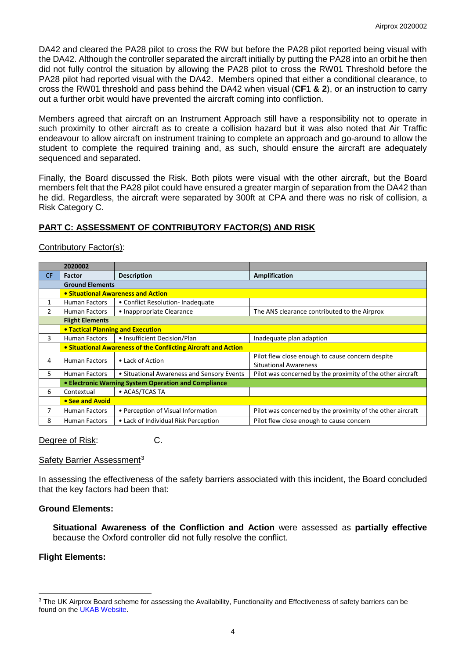DA42 and cleared the PA28 pilot to cross the RW but before the PA28 pilot reported being visual with the DA42. Although the controller separated the aircraft initially by putting the PA28 into an orbit he then did not fully control the situation by allowing the PA28 pilot to cross the RW01 Threshold before the PA28 pilot had reported visual with the DA42. Members opined that either a conditional clearance, to cross the RW01 threshold and pass behind the DA42 when visual (**CF1 & 2**), or an instruction to carry out a further orbit would have prevented the aircraft coming into confliction.

Members agreed that aircraft on an Instrument Approach still have a responsibility not to operate in such proximity to other aircraft as to create a collision hazard but it was also noted that Air Traffic endeavour to allow aircraft on instrument training to complete an approach and go-around to allow the student to complete the required training and, as such, should ensure the aircraft are adequately sequenced and separated.

Finally, the Board discussed the Risk. Both pilots were visual with the other aircraft, but the Board members felt that the PA28 pilot could have ensured a greater margin of separation from the DA42 than he did. Regardless, the aircraft were separated by 300ft at CPA and there was no risk of collision, a Risk Category C.

## **PART C: ASSESSMENT OF CONTRIBUTORY FACTOR(S) AND RISK**

## Contributory Factor(s):

|           | 2020002                                                        |                                            |                                                            |  |  |  |  |  |  |
|-----------|----------------------------------------------------------------|--------------------------------------------|------------------------------------------------------------|--|--|--|--|--|--|
| <b>CF</b> | <b>Factor</b>                                                  | <b>Description</b>                         | <b>Amplification</b>                                       |  |  |  |  |  |  |
|           | <b>Ground Elements</b>                                         |                                            |                                                            |  |  |  |  |  |  |
|           | • Situational Awareness and Action                             |                                            |                                                            |  |  |  |  |  |  |
| 1         | <b>Human Factors</b>                                           | • Conflict Resolution-Inadequate           |                                                            |  |  |  |  |  |  |
| 2         | <b>Human Factors</b>                                           | • Inappropriate Clearance                  | The ANS clearance contributed to the Airprox               |  |  |  |  |  |  |
|           | <b>Flight Elements</b>                                         |                                            |                                                            |  |  |  |  |  |  |
|           | <b>• Tactical Planning and Execution</b>                       |                                            |                                                            |  |  |  |  |  |  |
| 3         | <b>Human Factors</b>                                           | • Insufficient Decision/Plan               | Inadequate plan adaption                                   |  |  |  |  |  |  |
|           | • Situational Awareness of the Conflicting Aircraft and Action |                                            |                                                            |  |  |  |  |  |  |
| 4         | <b>Human Factors</b>                                           | • Lack of Action                           | Pilot flew close enough to cause concern despite           |  |  |  |  |  |  |
|           |                                                                |                                            | <b>Situational Awareness</b>                               |  |  |  |  |  |  |
| 5.        | <b>Human Factors</b>                                           | • Situational Awareness and Sensory Events | Pilot was concerned by the proximity of the other aircraft |  |  |  |  |  |  |
|           | • Electronic Warning System Operation and Compliance           |                                            |                                                            |  |  |  |  |  |  |
| 6         | Contextual                                                     | • ACAS/TCAS TA                             |                                                            |  |  |  |  |  |  |
|           | • See and Avoid                                                |                                            |                                                            |  |  |  |  |  |  |
| 7         | Human Factors                                                  | • Perception of Visual Information         | Pilot was concerned by the proximity of the other aircraft |  |  |  |  |  |  |
| 8         | <b>Human Factors</b>                                           | • Lack of Individual Risk Perception       | Pilot flew close enough to cause concern                   |  |  |  |  |  |  |

Degree of Risk: C.

# Safety Barrier Assessment<sup>[3](#page-3-0)</sup>

In assessing the effectiveness of the safety barriers associated with this incident, the Board concluded that the key factors had been that:

## **Ground Elements:**

**Situational Awareness of the Confliction and Action** were assessed as **partially effective** because the Oxford controller did not fully resolve the conflict.

## **Flight Elements:**

 $\overline{\phantom{a}}$ 

<span id="page-3-0"></span><sup>&</sup>lt;sup>3</sup> The UK Airprox Board scheme for assessing the Availability, Functionality and Effectiveness of safety barriers can be found on the [UKAB Website.](http://www.airproxboard.org.uk/Learn-more/Airprox-Barrier-Assessment/)